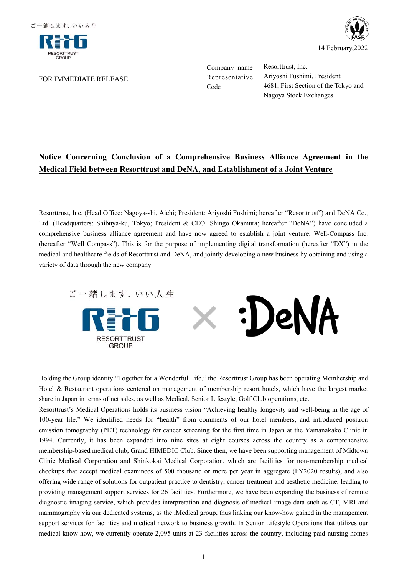

FOR IMMEDIATE RELEASE



Company name Resorttrust, Inc.

Representative Ariyoshi Fushimi, President Code 4681, First Section of the Tokyo and Nagoya Stock Exchanges

## **Notice Concerning Conclusion of a Comprehensive Business Alliance Agreement in the Medical Field between Resorttrust and DeNA, and Establishment of a Joint Venture**

Resorttrust, Inc. (Head Office: Nagoya-shi, Aichi; President: Ariyoshi Fushimi; hereafter "Resorttrust") and DeNA Co., Ltd. (Headquarters: Shibuya-ku, Tokyo; President & CEO: Shingo Okamura; hereafter "DeNA") have concluded a comprehensive business alliance agreement and have now agreed to establish a joint venture, Well-Compass Inc. (hereafter "Well Compass"). This is for the purpose of implementing digital transformation (hereafter "DX") in the medical and healthcare fields of Resorttrust and DeNA, and jointly developing a new business by obtaining and using a variety of data through the new company.



Holding the Group identity "Together for a Wonderful Life," the Resorttrust Group has been operating Membership and Hotel & Restaurant operations centered on management of membership resort hotels, which have the largest market share in Japan in terms of net sales, as well as Medical, Senior Lifestyle, Golf Club operations, etc.

Resorttrust's Medical Operations holds its business vision "Achieving healthy longevity and well-being in the age of 100-year life." We identified needs for "health" from comments of our hotel members, and introduced positron emission tomography (PET) technology for cancer screening for the first time in Japan at the Yamanakako Clinic in 1994. Currently, it has been expanded into nine sites at eight courses across the country as a comprehensive membership-based medical club, Grand HIMEDIC Club. Since then, we have been supporting management of Midtown Clinic Medical Corporation and Shinkokai Medical Corporation, which are facilities for non-membership medical checkups that accept medical examinees of 500 thousand or more per year in aggregate (FY2020 results), and also offering wide range of solutions for outpatient practice to dentistry, cancer treatment and aesthetic medicine, leading to providing management support services for 26 facilities. Furthermore, we have been expanding the business of remote diagnostic imaging service, which provides interpretation and diagnosis of medical image data such as CT, MRI and mammography via our dedicated systems, as the iMedical group, thus linking our know-how gained in the management support services for facilities and medical network to business growth. In Senior Lifestyle Operations that utilizes our medical know-how, we currently operate 2,095 units at 23 facilities across the country, including paid nursing homes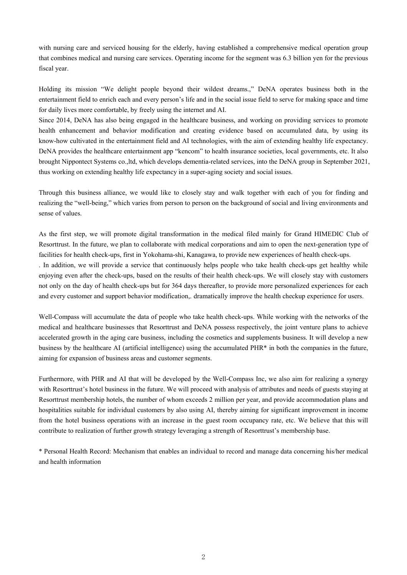with nursing care and serviced housing for the elderly, having established a comprehensive medical operation group that combines medical and nursing care services. Operating income for the segment was 6.3 billion yen for the previous fiscal year.

Holding its mission "We delight people beyond their wildest dreams.," DeNA operates business both in the entertainment field to enrich each and every person's life and in the social issue field to serve for making space and time for daily lives more comfortable, by freely using the internet and AI.

Since 2014, DeNA has also being engaged in the healthcare business, and working on providing services to promote health enhancement and behavior modification and creating evidence based on accumulated data, by using its know-how cultivated in the entertainment field and AI technologies, with the aim of extending healthy life expectancy. DeNA provides the healthcare entertainment app "kencom" to health insurance societies, local governments, etc. It also brought Nippontect Systems co.,ltd, which develops dementia-related services, into the DeNA group in September 2021, thus working on extending healthy life expectancy in a super-aging society and social issues.

Through this business alliance, we would like to closely stay and walk together with each of you for finding and realizing the "well-being," which varies from person to person on the background of social and living environments and sense of values.

As the first step, we will promote digital transformation in the medical filed mainly for Grand HIMEDIC Club of Resorttrust. In the future, we plan to collaborate with medical corporations and aim to open the next-generation type of facilities for health check-ups, first in Yokohama-shi, Kanagawa, to provide new experiences of health check-ups. . In addition, we will provide a service that continuously helps people who take health check-ups get healthy while enjoying even after the check-ups, based on the results of their health check-ups. We will closely stay with customers not only on the day of health check-ups but for 364 days thereafter, to provide more personalized experiences for each and every customer and support behavior modification,. dramatically improve the health checkup experience for users.

Well-Compass will accumulate the data of people who take health check-ups. While working with the networks of the medical and healthcare businesses that Resorttrust and DeNA possess respectively, the joint venture plans to achieve accelerated growth in the aging care business, including the cosmetics and supplements business. It will develop a new business by the healthcare AI (artificial intelligence) using the accumulated PHR\* in both the companies in the future, aiming for expansion of business areas and customer segments.

Furthermore, with PHR and AI that will be developed by the Well-Compass Inc, we also aim for realizing a synergy with Resorttrust's hotel business in the future. We will proceed with analysis of attributes and needs of guests staying at Resorttrust membership hotels, the number of whom exceeds 2 million per year, and provide accommodation plans and hospitalities suitable for individual customers by also using AI, thereby aiming for significant improvement in income from the hotel business operations with an increase in the guest room occupancy rate, etc. We believe that this will contribute to realization of further growth strategy leveraging a strength of Resorttrust's membership base.

\* Personal Health Record: Mechanism that enables an individual to record and manage data concerning his/her medical and health information